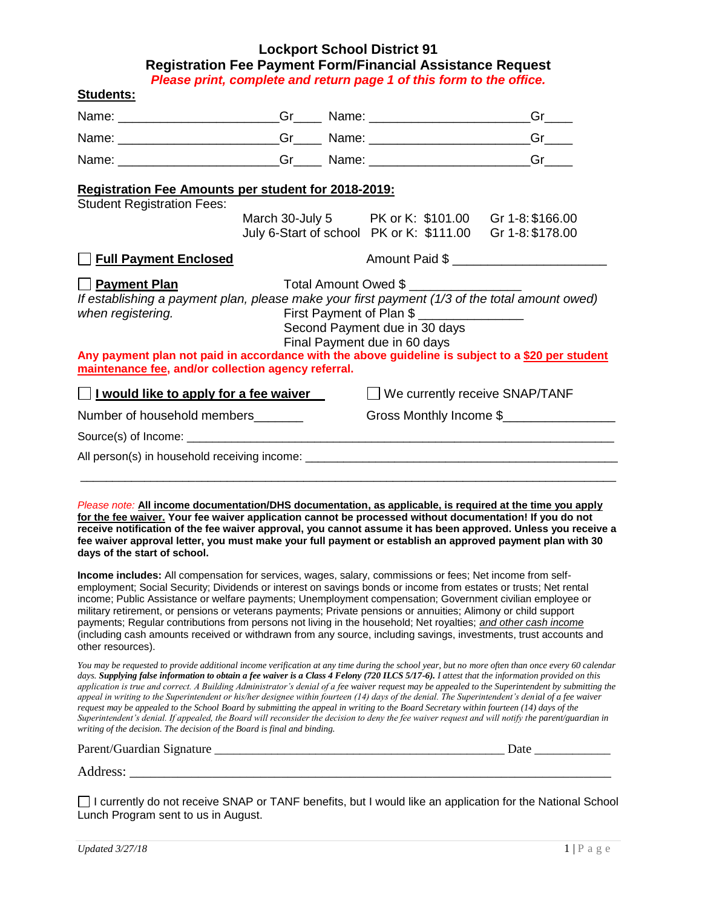## **Lockport School District 91 Registration Fee Payment Form/Financial Assistance Request**

*Please print, complete and return page 1 of this form to the office.* 

| Name: __________________________Gr________Name: ________________________________                                                                                                                                                                                                                                                                                                                                                                                                                                                                                                                                                                                                                                                                                                                                                                                                                                                                                                          |  |  | Name: ___________________________Gr________Name: _______________________________          | $Gr_{\_\_\_\_\_\_}$   |
|-------------------------------------------------------------------------------------------------------------------------------------------------------------------------------------------------------------------------------------------------------------------------------------------------------------------------------------------------------------------------------------------------------------------------------------------------------------------------------------------------------------------------------------------------------------------------------------------------------------------------------------------------------------------------------------------------------------------------------------------------------------------------------------------------------------------------------------------------------------------------------------------------------------------------------------------------------------------------------------------|--|--|-------------------------------------------------------------------------------------------|-----------------------|
|                                                                                                                                                                                                                                                                                                                                                                                                                                                                                                                                                                                                                                                                                                                                                                                                                                                                                                                                                                                           |  |  |                                                                                           | $Gr$ <sub>_____</sub> |
|                                                                                                                                                                                                                                                                                                                                                                                                                                                                                                                                                                                                                                                                                                                                                                                                                                                                                                                                                                                           |  |  | Name: ___________________________Gr________Name: _______________________________          | Green                 |
| Registration Fee Amounts per student for 2018-2019:<br><b>Student Registration Fees:</b>                                                                                                                                                                                                                                                                                                                                                                                                                                                                                                                                                                                                                                                                                                                                                                                                                                                                                                  |  |  | March 30-July 5 PK or K: \$101.00 Gr 1-8: \$166.00                                        |                       |
|                                                                                                                                                                                                                                                                                                                                                                                                                                                                                                                                                                                                                                                                                                                                                                                                                                                                                                                                                                                           |  |  | July 6-Start of school PK or K: \$111.00 Gr 1-8: \$178.00                                 |                       |
| <b>Full Payment Enclosed</b>                                                                                                                                                                                                                                                                                                                                                                                                                                                                                                                                                                                                                                                                                                                                                                                                                                                                                                                                                              |  |  |                                                                                           | Amount Paid \$        |
| If establishing a payment plan, please make your first payment (1/3 of the total amount owed)<br>when registering.<br>Any payment plan not paid in accordance with the above guideline is subject to a \$20 per student<br>maintenance fee, and/or collection agency referral.                                                                                                                                                                                                                                                                                                                                                                                                                                                                                                                                                                                                                                                                                                            |  |  | First Payment of Plan \$<br>Second Payment due in 30 days<br>Final Payment due in 60 days |                       |
| I would like to apply for a fee waiver                                                                                                                                                                                                                                                                                                                                                                                                                                                                                                                                                                                                                                                                                                                                                                                                                                                                                                                                                    |  |  | $\Box$ We currently receive SNAP/TANF                                                     |                       |
| Number of household members_______                                                                                                                                                                                                                                                                                                                                                                                                                                                                                                                                                                                                                                                                                                                                                                                                                                                                                                                                                        |  |  | Gross Monthly Income \$                                                                   |                       |
|                                                                                                                                                                                                                                                                                                                                                                                                                                                                                                                                                                                                                                                                                                                                                                                                                                                                                                                                                                                           |  |  |                                                                                           |                       |
| Please note: All income documentation/DHS documentation, as applicable, is required at the time you apply<br>for the fee waiver. Your fee waiver application cannot be processed without documentation! If you do not<br>receive notification of the fee waiver approval, you cannot assume it has been approved. Unless you receive a<br>fee waiver approval letter, you must make your full payment or establish an approved payment plan with 30<br>days of the start of school.                                                                                                                                                                                                                                                                                                                                                                                                                                                                                                       |  |  |                                                                                           |                       |
| Income includes: All compensation for services, wages, salary, commissions or fees; Net income from self-<br>employment; Social Security; Dividends or interest on savings bonds or income from estates or trusts; Net rental<br>income; Public Assistance or welfare payments; Unemployment compensation; Government civilian employee or                                                                                                                                                                                                                                                                                                                                                                                                                                                                                                                                                                                                                                                |  |  |                                                                                           |                       |
| military retirement, or pensions or veterans payments; Private pensions or annuities; Alimony or child support<br>payments; Regular contributions from persons not living in the household; Net royalties; and other cash income<br>(including cash amounts received or withdrawn from any source, including savings, investments, trust accounts and<br>other resources).                                                                                                                                                                                                                                                                                                                                                                                                                                                                                                                                                                                                                |  |  |                                                                                           |                       |
| You may be requested to provide additional income verification at any time during the school year, but no more often than once every 60 calendar<br>days. Supplying false information to obtain a fee waiver is a Class 4 Felony (720 ILCS 5/17-6). I attest that the information provided on this<br>application is true and correct. A Building Administrator's denial of a fee waiver request may be appealed to the Superintendent by submitting the<br>appeal in writing to the Superintendent or his/her designee within fourteen (14) days of the denial. The Superintendent's denial of a fee waiver<br>request may be appealed to the School Board by submitting the appeal in writing to the Board Secretary within fourteen (14) days of the<br>Superintendent's denial. If appealed, the Board will reconsider the decision to deny the fee waiver request and will notify the parent/guardian in<br>writing of the decision. The decision of the Board is final and binding. |  |  |                                                                                           |                       |
|                                                                                                                                                                                                                                                                                                                                                                                                                                                                                                                                                                                                                                                                                                                                                                                                                                                                                                                                                                                           |  |  |                                                                                           |                       |